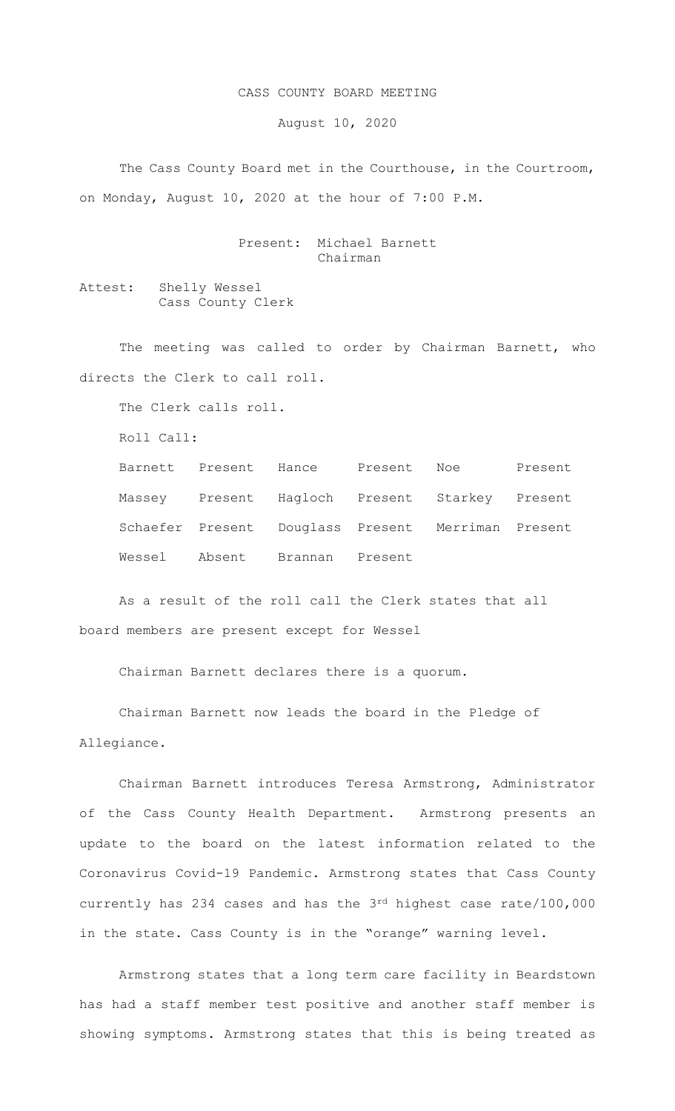## CASS COUNTY BOARD MEETING

August 10, 2020

 The Cass County Board met in the Courthouse, in the Courtroom, on Monday, August 10, 2020 at the hour of 7:00 P.M.

> Present: Michael Barnett Chairman

Attest: Shelly Wessel Cass County Clerk

The meeting was called to order by Chairman Barnett, who directs the Clerk to call roll.

The Clerk calls roll.

Roll Call:

| Barnett Present Hance Present Noe |         |                                                    | Present |
|-----------------------------------|---------|----------------------------------------------------|---------|
|                                   |         | Massey Present Hagloch Present Starkey Present     |         |
|                                   |         | Schaefer Present Douglass Present Merriman Present |         |
| Wessel Absent Brannan             | Present |                                                    |         |

As a result of the roll call the Clerk states that all board members are present except for Wessel

Chairman Barnett declares there is a quorum.

Chairman Barnett now leads the board in the Pledge of Allegiance.

Chairman Barnett introduces Teresa Armstrong, Administrator of the Cass County Health Department. Armstrong presents an update to the board on the latest information related to the Coronavirus Covid-19 Pandemic. Armstrong states that Cass County currently has 234 cases and has the 3rd highest case rate/100,000 in the state. Cass County is in the "orange" warning level.

Armstrong states that a long term care facility in Beardstown has had a staff member test positive and another staff member is showing symptoms. Armstrong states that this is being treated as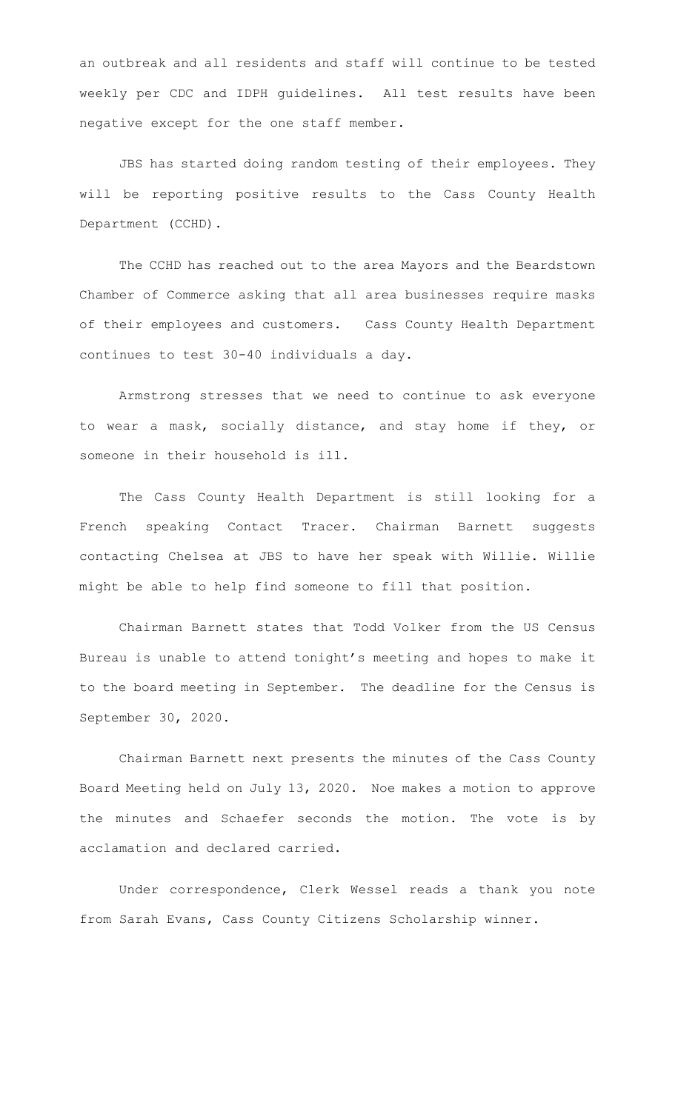an outbreak and all residents and staff will continue to be tested weekly per CDC and IDPH guidelines. All test results have been negative except for the one staff member.

JBS has started doing random testing of their employees. They will be reporting positive results to the Cass County Health Department (CCHD).

The CCHD has reached out to the area Mayors and the Beardstown Chamber of Commerce asking that all area businesses require masks of their employees and customers. Cass County Health Department continues to test 30-40 individuals a day.

Armstrong stresses that we need to continue to ask everyone to wear a mask, socially distance, and stay home if they, or someone in their household is ill.

The Cass County Health Department is still looking for a French speaking Contact Tracer. Chairman Barnett suggests contacting Chelsea at JBS to have her speak with Willie. Willie might be able to help find someone to fill that position.

Chairman Barnett states that Todd Volker from the US Census Bureau is unable to attend tonight's meeting and hopes to make it to the board meeting in September. The deadline for the Census is September 30, 2020.

Chairman Barnett next presents the minutes of the Cass County Board Meeting held on July 13, 2020. Noe makes a motion to approve the minutes and Schaefer seconds the motion. The vote is by acclamation and declared carried.

Under correspondence, Clerk Wessel reads a thank you note from Sarah Evans, Cass County Citizens Scholarship winner.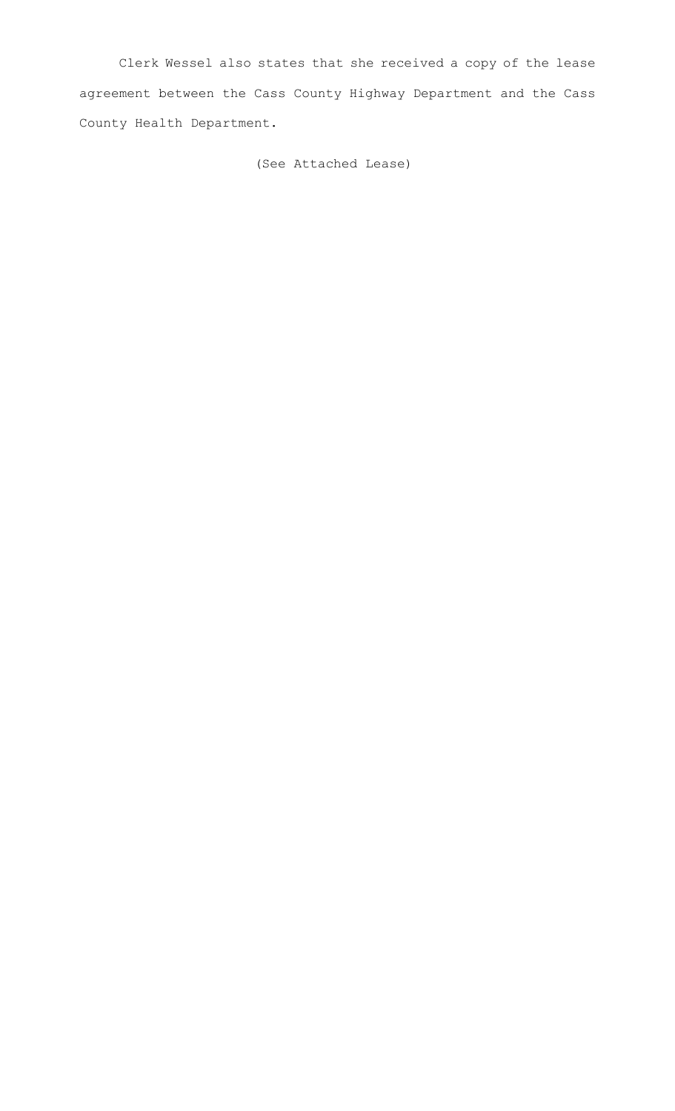Clerk Wessel also states that she received a copy of the lease agreement between the Cass County Highway Department and the Cass County Health Department.

(See Attached Lease)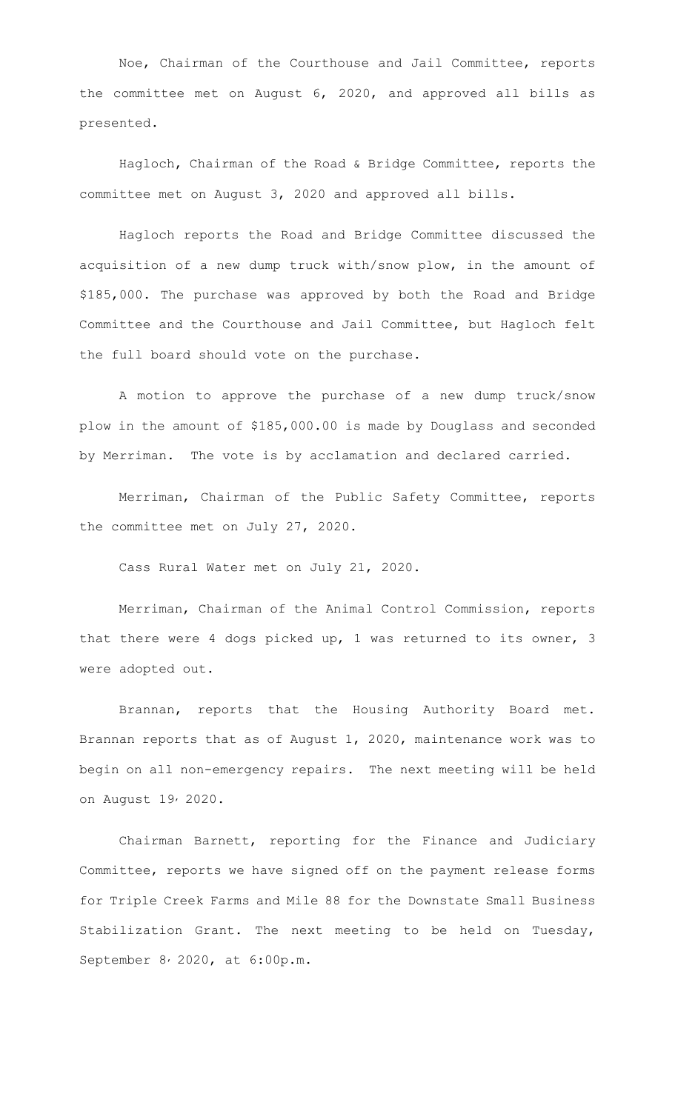Noe, Chairman of the Courthouse and Jail Committee, reports the committee met on August 6, 2020, and approved all bills as presented.

Hagloch, Chairman of the Road & Bridge Committee, reports the committee met on August 3, 2020 and approved all bills.

Hagloch reports the Road and Bridge Committee discussed the acquisition of a new dump truck with/snow plow, in the amount of \$185,000. The purchase was approved by both the Road and Bridge Committee and the Courthouse and Jail Committee, but Hagloch felt the full board should vote on the purchase.

A motion to approve the purchase of a new dump truck/snow plow in the amount of \$185,000.00 is made by Douglass and seconded by Merriman. The vote is by acclamation and declared carried.

Merriman, Chairman of the Public Safety Committee, reports the committee met on July 27, 2020.

Cass Rural Water met on July 21, 2020.

Merriman, Chairman of the Animal Control Commission, reports that there were 4 dogs picked up, 1 was returned to its owner, 3 were adopted out.

Brannan, reports that the Housing Authority Board met. Brannan reports that as of August 1, 2020, maintenance work was to begin on all non-emergency repairs. The next meeting will be held on August 19, 2020.

Chairman Barnett, reporting for the Finance and Judiciary Committee, reports we have signed off on the payment release forms for Triple Creek Farms and Mile 88 for the Downstate Small Business Stabilization Grant. The next meeting to be held on Tuesday, September 8, 2020, at 6:00p.m.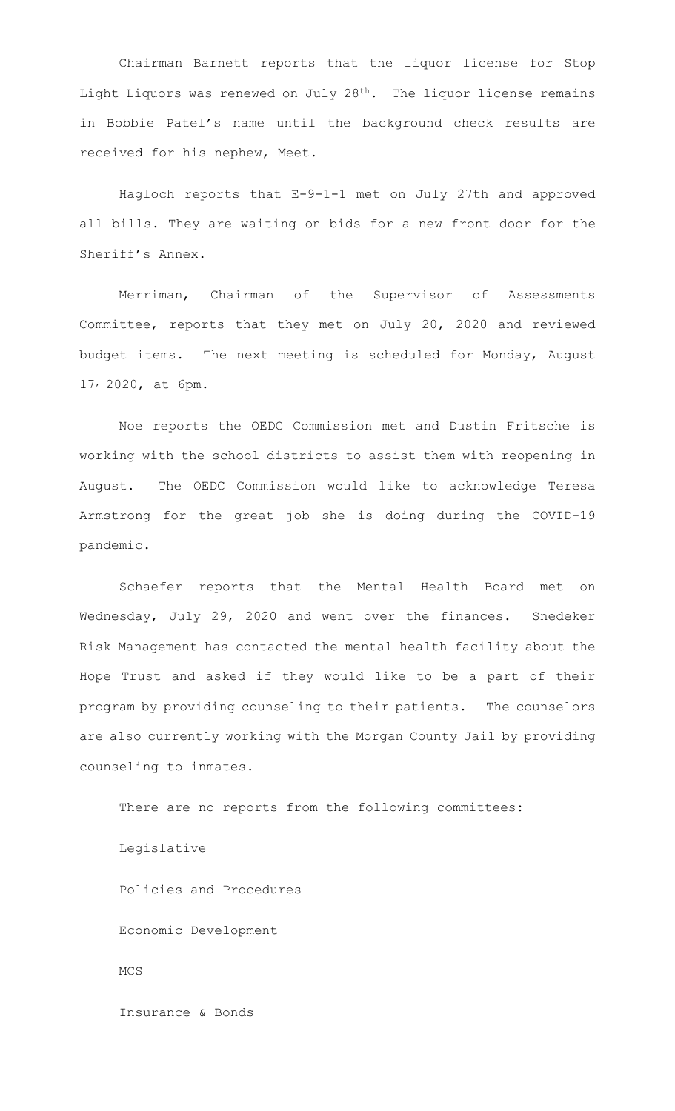Chairman Barnett reports that the liquor license for Stop Light Liquors was renewed on July 28th. The liquor license remains in Bobbie Patel's name until the background check results are received for his nephew, Meet.

Hagloch reports that E-9-1-1 met on July 27th and approved all bills. They are waiting on bids for a new front door for the Sheriff's Annex.

Merriman, Chairman of the Supervisor of Assessments Committee, reports that they met on July 20, 2020 and reviewed budget items. The next meeting is scheduled for Monday, August 17, 2020, at 6pm.

Noe reports the OEDC Commission met and Dustin Fritsche is working with the school districts to assist them with reopening in August. The OEDC Commission would like to acknowledge Teresa Armstrong for the great job she is doing during the COVID-19 pandemic.

Schaefer reports that the Mental Health Board met on Wednesday, July 29, 2020 and went over the finances. Snedeker Risk Management has contacted the mental health facility about the Hope Trust and asked if they would like to be a part of their program by providing counseling to their patients. The counselors are also currently working with the Morgan County Jail by providing counseling to inmates.

There are no reports from the following committees: Legislative Policies and Procedures Economic Development MCS Insurance & Bonds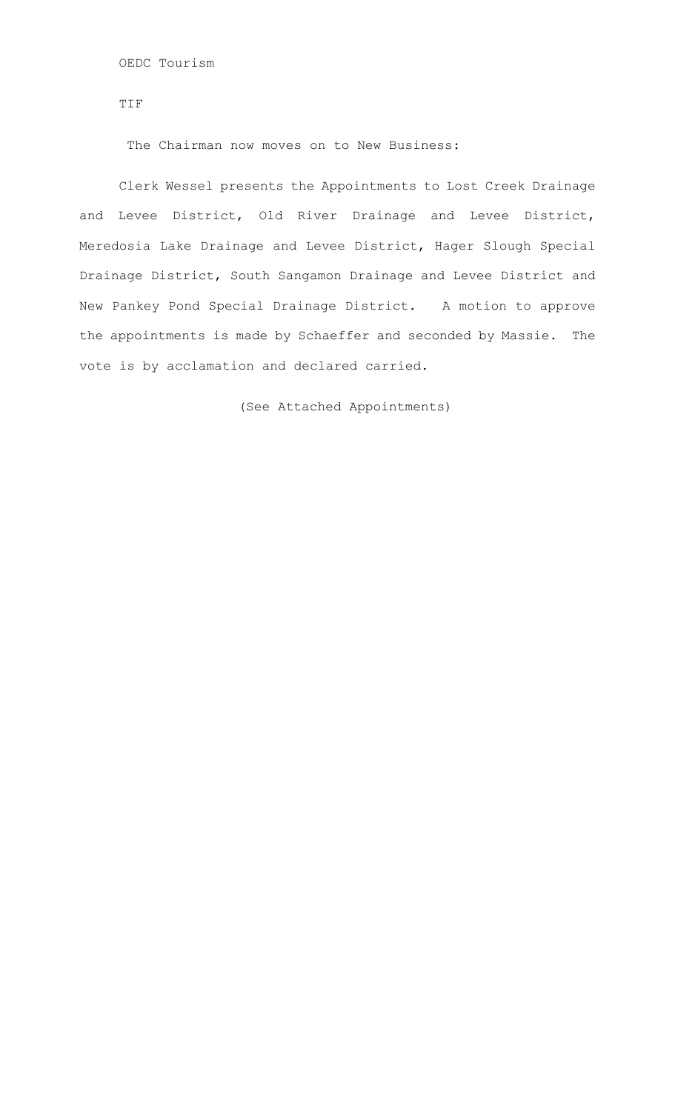OEDC Tourism

TIF

The Chairman now moves on to New Business:

 Clerk Wessel presents the Appointments to Lost Creek Drainage and Levee District, Old River Drainage and Levee District, Meredosia Lake Drainage and Levee District, Hager Slough Special Drainage District, South Sangamon Drainage and Levee District and New Pankey Pond Special Drainage District. A motion to approve the appointments is made by Schaeffer and seconded by Massie. The vote is by acclamation and declared carried.

(See Attached Appointments)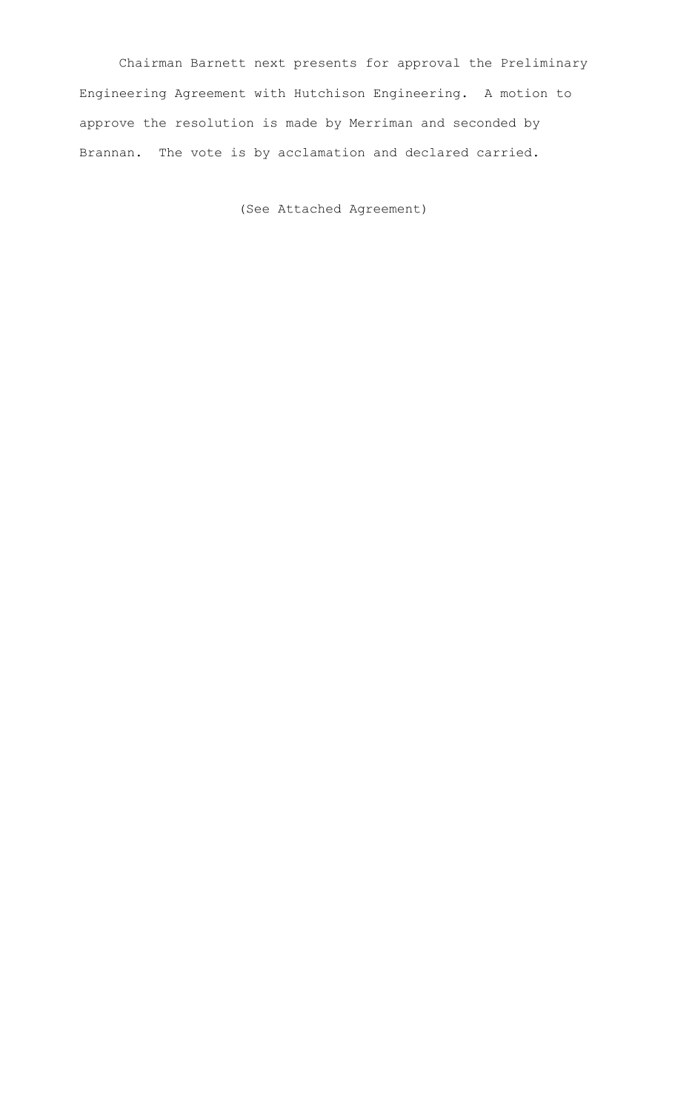Chairman Barnett next presents for approval the Preliminary Engineering Agreement with Hutchison Engineering. A motion to approve the resolution is made by Merriman and seconded by Brannan. The vote is by acclamation and declared carried.

(See Attached Agreement)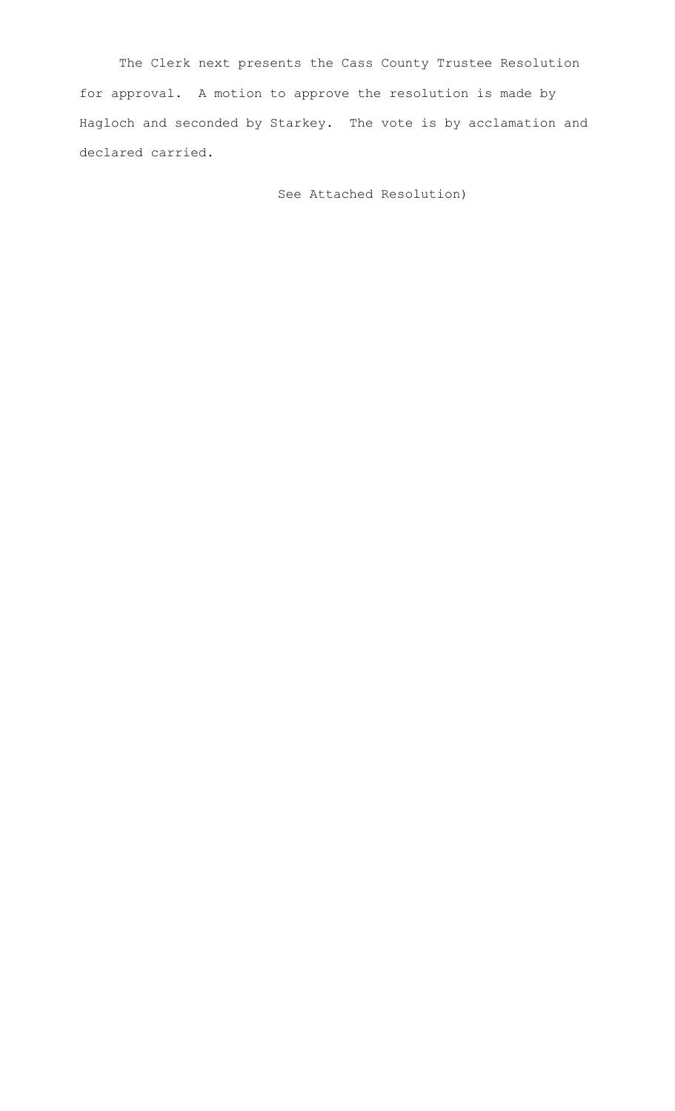The Clerk next presents the Cass County Trustee Resolution for approval. A motion to approve the resolution is made by Hagloch and seconded by Starkey. The vote is by acclamation and declared carried.

See Attached Resolution)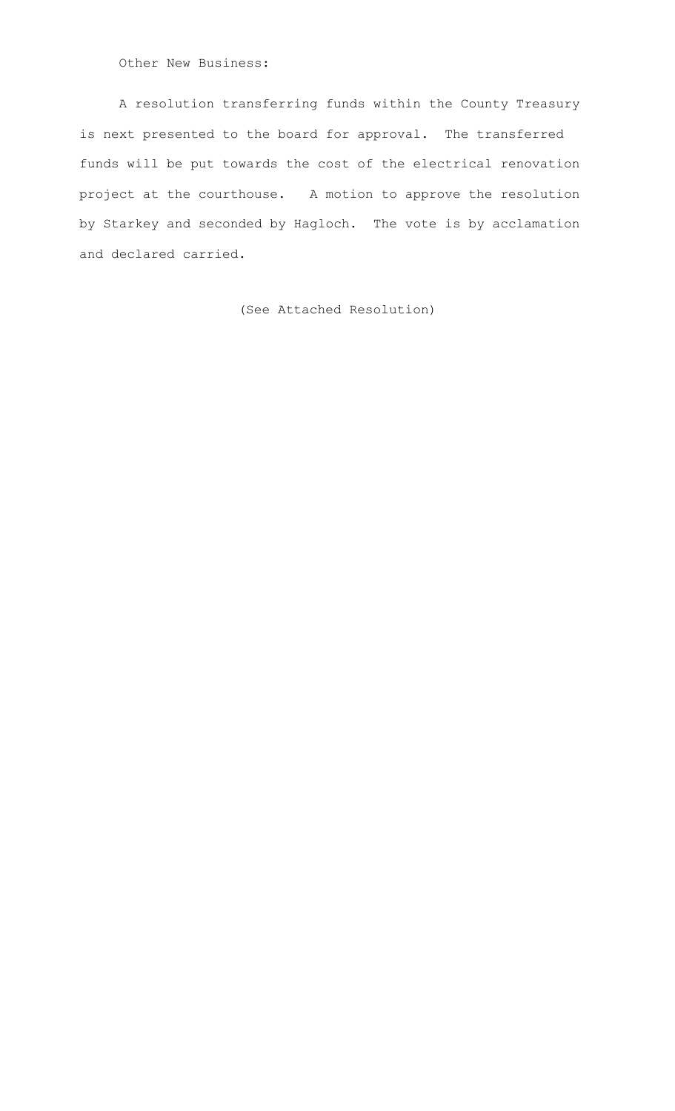Other New Business:

A resolution transferring funds within the County Treasury is next presented to the board for approval. The transferred funds will be put towards the cost of the electrical renovation project at the courthouse. A motion to approve the resolution by Starkey and seconded by Hagloch. The vote is by acclamation and declared carried.

(See Attached Resolution)